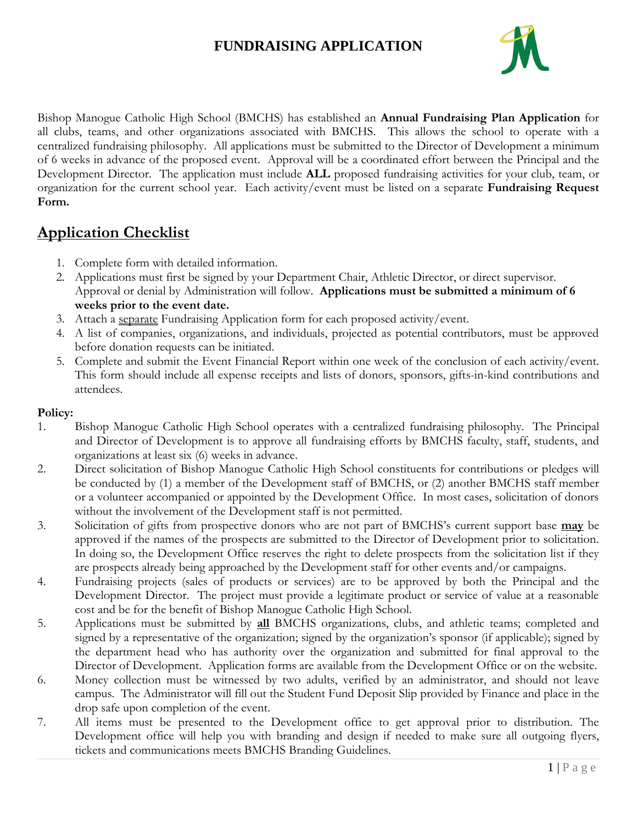## **FUNDRAISING APPLICATION**



Bishop Manogue Catholic High School (BMCHS) has established an **Annual Fundraising Plan Application** for all clubs, teams, and other organizations associated with BMCHS. This allows the school to operate with a centralized fundraising philosophy. All applications must be submitted to the Director of Development a minimum of 6 weeks in advance of the proposed event. Approval will be a coordinated effort between the Principal and the Development Director. The application must include **ALL** proposed fundraising activities for your club, team, or organization for the current school year. Each activity/event must be listed on a separate **Fundraising Request Form.** 

## **Application Checklist**

- 1. Complete form with detailed information.
- 2. Applications must first be signed by your Department Chair, Athletic Director, or direct supervisor. Approval or denial by Administration will follow. **Applications must be submitted a minimum of 6 weeks prior to the event date.**
- 3. Attach a separate Fundraising Application form for each proposed activity/event.
- 4. A list of companies, organizations, and individuals, projected as potential contributors, must be approved before donation requests can be initiated.
- 5. Complete and submit the Event Financial Report within one week of the conclusion of each activity/event. This form should include all expense receipts and lists of donors, sponsors, gifts-in-kind contributions and attendees.

## **Policy:**

- 1. Bishop Manogue Catholic High School operates with a centralized fundraising philosophy. The Principal and Director of Development is to approve all fundraising efforts by BMCHS faculty, staff, students, and organizations at least six (6) weeks in advance.
- 2. Direct solicitation of Bishop Manogue Catholic High School constituents for contributions or pledges will be conducted by (1) a member of the Development staff of BMCHS, or (2) another BMCHS staff member or a volunteer accompanied or appointed by the Development Office. In most cases, solicitation of donors without the involvement of the Development staff is not permitted.
- 3. Solicitation of gifts from prospective donors who are not part of BMCHS's current support base **may** be approved if the names of the prospects are submitted to the Director of Development prior to solicitation. In doing so, the Development Office reserves the right to delete prospects from the solicitation list if they are prospects already being approached by the Development staff for other events and/or campaigns.
- 4. Fundraising projects (sales of products or services) are to be approved by both the Principal and the Development Director. The project must provide a legitimate product or service of value at a reasonable cost and be for the benefit of Bishop Manogue Catholic High School.
- 5. Applications must be submitted by **all** BMCHS organizations, clubs, and athletic teams; completed and signed by a representative of the organization; signed by the organization's sponsor (if applicable); signed by the department head who has authority over the organization and submitted for final approval to the Director of Development. Application forms are available from the Development Office or on the website.
- 6. Money collection must be witnessed by two adults, verified by an administrator, and should not leave campus. The Administrator will fill out the Student Fund Deposit Slip provided by Finance and place in the drop safe upon completion of the event.
- 7. All items must be presented to the Development office to get approval prior to distribution. The Development office will help you with branding and design if needed to make sure all outgoing flyers, tickets and communications meets BMCHS Branding Guidelines.